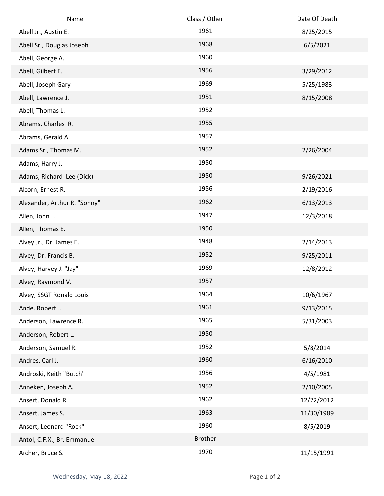| Name                         | Class / Other  | Date Of Death |
|------------------------------|----------------|---------------|
| Abell Jr., Austin E.         | 1961           | 8/25/2015     |
| Abell Sr., Douglas Joseph    | 1968           | 6/5/2021      |
| Abell, George A.             | 1960           |               |
| Abell, Gilbert E.            | 1956           | 3/29/2012     |
| Abell, Joseph Gary           | 1969           | 5/25/1983     |
| Abell, Lawrence J.           | 1951           | 8/15/2008     |
| Abell, Thomas L.             | 1952           |               |
| Abrams, Charles R.           | 1955           |               |
| Abrams, Gerald A.            | 1957           |               |
| Adams Sr., Thomas M.         | 1952           | 2/26/2004     |
| Adams, Harry J.              | 1950           |               |
| Adams, Richard Lee (Dick)    | 1950           | 9/26/2021     |
| Alcorn, Ernest R.            | 1956           | 2/19/2016     |
| Alexander, Arthur R. "Sonny" | 1962           | 6/13/2013     |
| Allen, John L.               | 1947           | 12/3/2018     |
| Allen, Thomas E.             | 1950           |               |
| Alvey Jr., Dr. James E.      | 1948           | 2/14/2013     |
| Alvey, Dr. Francis B.        | 1952           | 9/25/2011     |
| Alvey, Harvey J. "Jay"       | 1969           | 12/8/2012     |
| Alvey, Raymond V.            | 1957           |               |
| Alvey, SSGT Ronald Louis     | 1964           | 10/6/1967     |
| Ande, Robert J.              | 1961           | 9/13/2015     |
| Anderson, Lawrence R.        | 1965           | 5/31/2003     |
| Anderson, Robert L.          | 1950           |               |
| Anderson, Samuel R.          | 1952           | 5/8/2014      |
| Andres, Carl J.              | 1960           | 6/16/2010     |
| Androski, Keith "Butch"      | 1956           | 4/5/1981      |
| Anneken, Joseph A.           | 1952           | 2/10/2005     |
| Ansert, Donald R.            | 1962           | 12/22/2012    |
| Ansert, James S.             | 1963           | 11/30/1989    |
| Ansert, Leonard "Rock"       | 1960           | 8/5/2019      |
| Antol, C.F.X., Br. Emmanuel  | <b>Brother</b> |               |
| Archer, Bruce S.             | 1970           | 11/15/1991    |